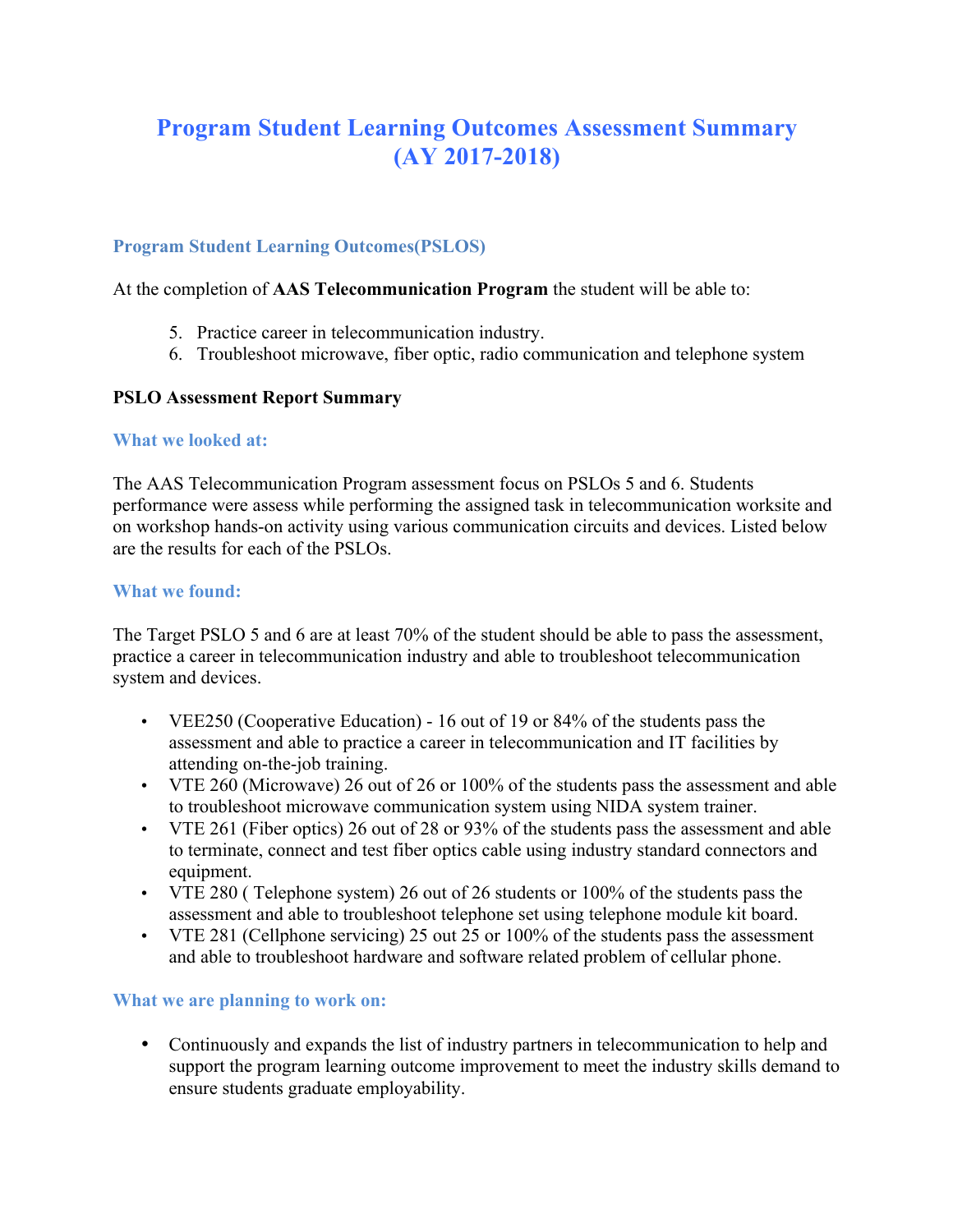# **Program Student Learning Outcomes Assessment Summary (AY 2017-2018)**

## **Program Student Learning Outcomes(PSLOS)**

At the completion of **AAS Telecommunication Program** the student will be able to:

- 5. Practice career in telecommunication industry.
- 6. Troubleshoot microwave, fiber optic, radio communication and telephone system

## **PSLO Assessment Report Summary**

### **What we looked at:**

The AAS Telecommunication Program assessment focus on PSLOs 5 and 6. Students performance were assess while performing the assigned task in telecommunication worksite and on workshop hands-on activity using various communication circuits and devices. Listed below are the results for each of the PSLOs.

### **What we found:**

The Target PSLO 5 and 6 are at least 70% of the student should be able to pass the assessment, practice a career in telecommunication industry and able to troubleshoot telecommunication system and devices.

- VEE250 (Cooperative Education) 16 out of 19 or 84% of the students pass the assessment and able to practice a career in telecommunication and IT facilities by attending on-the-job training.
- VTE 260 (Microwave) 26 out of 26 or 100% of the students pass the assessment and able to troubleshoot microwave communication system using NIDA system trainer.
- VTE 261 (Fiber optics) 26 out of 28 or 93% of the students pass the assessment and able to terminate, connect and test fiber optics cable using industry standard connectors and equipment.
- VTE 280 ( Telephone system) 26 out of 26 students or 100% of the students pass the assessment and able to troubleshoot telephone set using telephone module kit board.
- VTE 281 (Cellphone servicing) 25 out 25 or 100% of the students pass the assessment and able to troubleshoot hardware and software related problem of cellular phone.

## **What we are planning to work on:**

• Continuously and expands the list of industry partners in telecommunication to help and support the program learning outcome improvement to meet the industry skills demand to ensure students graduate employability.